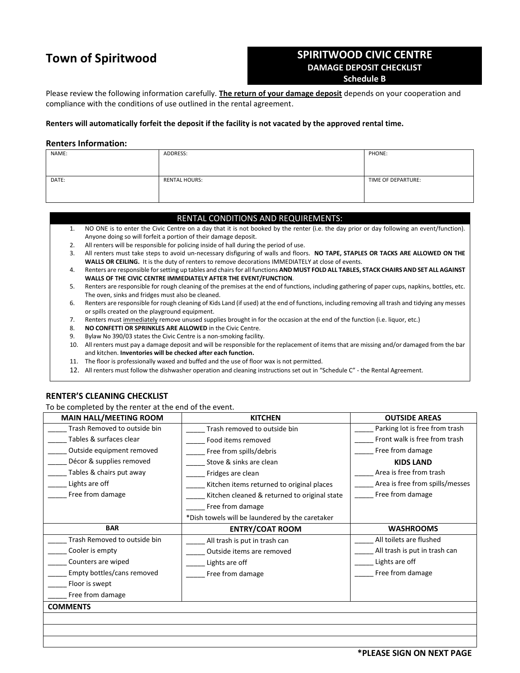## **Town of Spiritwood**

# **SPIRITWOOD CIVIC CENTRE DAMAGE DEPOSIT CHECKLIST**

**Schedule B**

Please review the following information carefully. **The return of your damage deposit** depends on your cooperation and compliance with the conditions of use outlined in the rental agreement.

#### **Renters will automatically forfeit the deposit if the facility is not vacated by the approved rental time.**

#### **Renters Information:**

| NAME: | ADDRESS:             | PHONE:             |
|-------|----------------------|--------------------|
|       |                      |                    |
|       |                      |                    |
|       |                      |                    |
| DATE: | <b>RENTAL HOURS:</b> | TIME OF DEPARTURE: |
|       |                      |                    |
|       |                      |                    |
|       |                      |                    |

### RENTAL CONDITIONS AND REQUIREMENTS:

- 1. NO ONE is to enter the Civic Centre on a day that it is not booked by the renter (i.e. the day prior or day following an event/function). Anyone doing so will forfeit a portion of their damage deposit.
- 2. All renters will be responsible for policing inside of hall during the period of use.
- 3. All renters must take steps to avoid un-necessary disfiguring of walls and floors. **NO TAPE, STAPLES OR TACKS ARE ALLOWED ON THE WALLS OR CEILING.** It is the duty of renters to remove decorations IMMEDIATELY at close of events.
- 4. Renters are responsible for setting up tables and chairs for all functions **AND MUST FOLD ALL TABLES, STACK CHAIRS AND SET ALL AGAINST WALLS OF THE CIVIC CENTRE IMMEDIATELY AFTER THE EVENT/FUNCTION**.
- 5. Renters are responsible for rough cleaning of the premises at the end of functions, including gathering of paper cups, napkins, bottles, etc. The oven, sinks and fridges must also be cleaned.
- 6. Renters are responsible for rough cleaning of Kids Land (if used) at the end of functions, including removing all trash and tidying any messes or spills created on the playground equipment.
- 7. Renters must immediately remove unused supplies brought in for the occasion at the end of the function (i.e. liquor, etc.)
- 8. **NO CONFETTI OR SPRINKLES ARE ALLOWED** in the Civic Centre.
- 9. Bylaw No 390/03 states the Civic Centre is a non-smoking facility.
- 10. All renters must pay a damage deposit and will be responsible for the replacement of items that are missing and/or damaged from the bar and kitchen. **Inventories will be checked after each function.**
- 11. The floor is professionally waxed and buffed and the use of floor wax is not permitted.
- 12. All renters must follow the dishwasher operation and cleaning instructions set out in "Schedule C" the Rental Agreement.

## **RENTER'S CLEANING CHECKLIST**

To be completed by the renter at the end of the event.

| <b>MAIN HALL/MEETING ROOM</b> | <b>KITCHEN</b>                                  | <b>OUTSIDE AREAS</b>            |
|-------------------------------|-------------------------------------------------|---------------------------------|
| Trash Removed to outside bin  | Trash removed to outside bin                    | Parking lot is free from trash  |
| Tables & surfaces clear       | Food items removed                              | Front walk is free from trash   |
| Outside equipment removed     | Free from spills/debris                         | Free from damage                |
| Décor & supplies removed      | Stove & sinks are clean                         | <b>KIDS LAND</b>                |
| Tables & chairs put away      | Fridges are clean                               | Area is free from trash         |
| Lights are off                | Kitchen items returned to original places       | Area is free from spills/messes |
| Free from damage              | Kitchen cleaned & returned to original state    | Free from damage                |
|                               | Free from damage                                |                                 |
|                               | *Dish towels will be laundered by the caretaker |                                 |
| <b>BAR</b>                    | <b>ENTRY/COAT ROOM</b>                          | <b>WASHROOMS</b>                |
|                               |                                                 |                                 |
| Trash Removed to outside bin  | All trash is put in trash can                   | All toilets are flushed         |
| Cooler is empty               | Outside items are removed                       | All trash is put in trash can   |
| Counters are wiped            | Lights are off                                  | Lights are off                  |
| Empty bottles/cans removed    | Free from damage                                | Free from damage                |
| Floor is swept                |                                                 |                                 |
| Free from damage              |                                                 |                                 |
| <b>COMMENTS</b>               |                                                 |                                 |
|                               |                                                 |                                 |
|                               |                                                 |                                 |